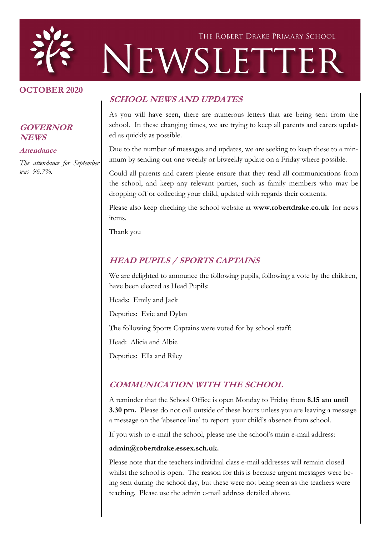

#### **OCTOBER 2020**

#### **GOVERNOR NEWS**

**Attendance**

*The attendance for September was 96.7%.*

#### **SCHOOL NEWS AND UPDATES**

As you will have seen, there are numerous letters that are being sent from the school. In these changing times, we are trying to keep all parents and carers updated as quickly as possible.

Due to the number of messages and updates, we are seeking to keep these to a minimum by sending out one weekly or biweekly update on a Friday where possible.

Could all parents and carers please ensure that they read all communications from the school, and keep any relevant parties, such as family members who may be dropping off or collecting your child, updated with regards their contents.

Please also keep checking the school website at **www.robertdrake.co.uk** for news items.

Thank you

#### **HEAD PUPILS / SPORTS CAPTAINS**

We are delighted to announce the following pupils, following a vote by the children, have been elected as Head Pupils:

Heads: Emily and Jack

Deputies: Evie and Dylan

The following Sports Captains were voted for by school staff:

Head: Alicia and Albie

Deputies: Ella and Riley

#### **COMMUNICATION WITH THE SCHOOL**

A reminder that the School Office is open Monday to Friday from **8.15 am until 3.30 pm.** Please do not call outside of these hours unless you are leaving a message a message on the 'absence line' to report your child's absence from school.

If you wish to e-mail the school, please use the school's main e-mail address:

#### **admin@robertdrake.essex.sch.uk.**

Please note that the teachers individual class e-mail addresses will remain closed whilst the school is open. The reason for this is because urgent messages were being sent during the school day, but these were not being seen as the teachers were teaching. Please use the admin e-mail address detailed above.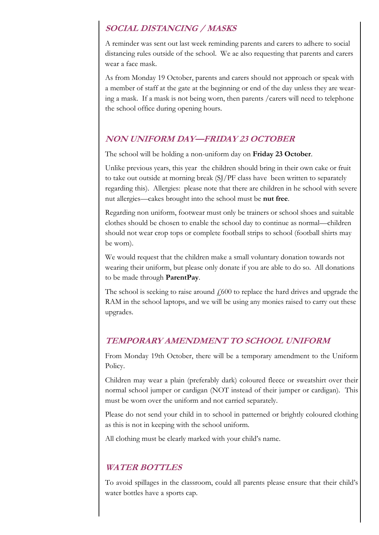## **SOCIAL DISTANCING / MASKS**

A reminder was sent out last week reminding parents and carers to adhere to social distancing rules outside of the school. We ae also requesting that parents and carers wear a face mask.

As from Monday 19 October, parents and carers should not approach or speak with a member of staff at the gate at the beginning or end of the day unless they are wearing a mask. If a mask is not being worn, then parents /carers will need to telephone the school office during opening hours.

### **NON UNIFORM DAY—FRIDAY 23 OCTOBER**

The school will be holding a non-uniform day on **Friday 23 October**.

Unlike previous years, this year the children should bring in their own cake or fruit to take out outside at morning break (SJ/PF class have been written to separately regarding this). Allergies: please note that there are children in he school with severe nut allergies—cakes brought into the school must be **nut free**.

Regarding non uniform, footwear must only be trainers or school shoes and suitable clothes should be chosen to enable the school day to continue as normal—children should not wear crop tops or complete football strips to school (football shirts may be worn).

We would request that the children make a small voluntary donation towards not wearing their uniform, but please only donate if you are able to do so. All donations to be made through **ParentPay**.

The school is seeking to raise around  $\ell$ 600 to replace the hard drives and upgrade the RAM in the school laptops, and we will be using any monies raised to carry out these upgrades.

#### **TEMPORARY AMENDMENT TO SCHOOL UNIFORM**

From Monday 19th October, there will be a temporary amendment to the Uniform Policy.

Children may wear a plain (preferably dark) coloured fleece or sweatshirt over their normal school jumper or cardigan (NOT instead of their jumper or cardigan). This must be worn over the uniform and not carried separately.

Please do not send your child in to school in patterned or brightly coloured clothing as this is not in keeping with the school uniform.

All clothing must be clearly marked with your child's name.

### **WATER BOTTLES**

To avoid spillages in the classroom, could all parents please ensure that their child's water bottles have a sports cap.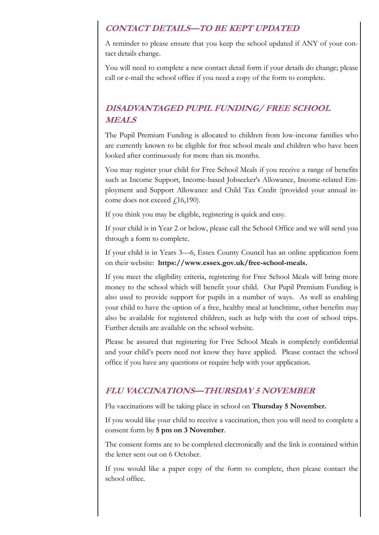### **CONTACT DETAILS—TO BE KEPT UPDATED**

A reminder to please ensure that you keep the school updated if ANY of your contact details change.

You will need to complete a new contact detail form if your details do change; please call or e-mail the school office if you need a copy of the form to complete.

# **DISADVANTAGED PUPIL FUNDING/ FREE SCHOOL MEALS**

The Pupil Premium Funding is allocated to children from low-income families who are currently known to be eligible for free school meals and children who have been looked after continuously for more than six months.

You may register your child for Free School Meals if you receive a range of benefits such as Income Support, Income-based Jobseeker's Allowance, Income-related Employment and Support Allowance and Child Tax Credit (provided your annual income does not exceed  $f(16,190)$ .

If you think you may be eligible, registering is quick and easy.

If your child is in Year 2 or below, please call the School Office and we will send you through a form to complete.

If your child is in Years 3—6, Essex County Council has an online application form on their website: **https://www.essex.gov.uk/free-school-meals.**

If you meet the eligibility criteria, registering for Free School Meals will bring more money to the school which will benefit your child. Our Pupil Premium Funding is also used to provide support for pupils in a number of ways. As well as enabling your child to have the option of a free, healthy meal at lunchtime, other benefits may also be available for registered children, such as help with the cost of school trips. Further details are available on the school website.

Please be assured that registering for Free School Meals is completely confidential and your child's peers need not know they have applied. Please contact the school office if you have any questions or require help with your application.

### **FLU VACCINATIONS—THURSDAY 5 NOVEMBER**

Flu vaccinations will be taking place in school on **Thursday 5 November.**

If you would like your child to receive a vaccination, then you will need to complete a consent form by **5 pm on 3 November**.

The consent forms are to be completed electronically and the link is contained within the letter sent out on 6 October.

If you would like a paper copy of the form to complete, then please contact the school office.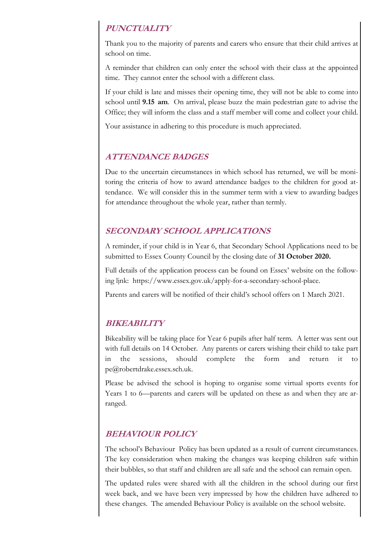## **PUNCTUALITY**

Thank you to the majority of parents and carers who ensure that their child arrives at school on time.

A reminder that children can only enter the school with their class at the appointed time. They cannot enter the school with a different class.

If your child is late and misses their opening time, they will not be able to come into school until **9.15 am**. On arrival, please buzz the main pedestrian gate to advise the Office; they will inform the class and a staff member will come and collect your child.

Your assistance in adhering to this procedure is much appreciated.

### **ATTENDANCE BADGES**

Due to the uncertain circumstances in which school has returned, we will be monitoring the criteria of how to award attendance badges to the children for good attendance. We will consider this in the summer term with a view to awarding badges for attendance throughout the whole year, rather than termly.

# **SECONDARY SCHOOL APPLICATIONS**

A reminder, if your child is in Year 6, that Secondary School Applications need to be submitted to Essex County Council by the closing date of **31 October 2020.**

Full details of the application process can be found on Essex' website on the following ljnk: https://www.essex.gov.uk/apply-for-a-secondary-school-place.

Parents and carers will be notified of their child's school offers on 1 March 2021.

# **BIKEABILITY**

Bikeability will be taking place for Year 6 pupils after half term. A letter was sent out with full details on 14 October. Any parents or carers wishing their child to take part in the sessions, should complete the form and return it to pe@robertdrake.essex.sch.uk.

Please be advised the school is hoping to organise some virtual sports events for Years 1 to 6—parents and carers will be updated on these as and when they are arranged.

# **BEHAVIOUR POLICY**

The school's Behaviour Policy has been updated as a result of current circumstances. The key consideration when making the changes was keeping children safe within their bubbles, so that staff and children are all safe and the school can remain open.

The updated rules were shared with all the children in the school during our first week back, and we have been very impressed by how the children have adhered to these changes. The amended Behaviour Policy is available on the school website.